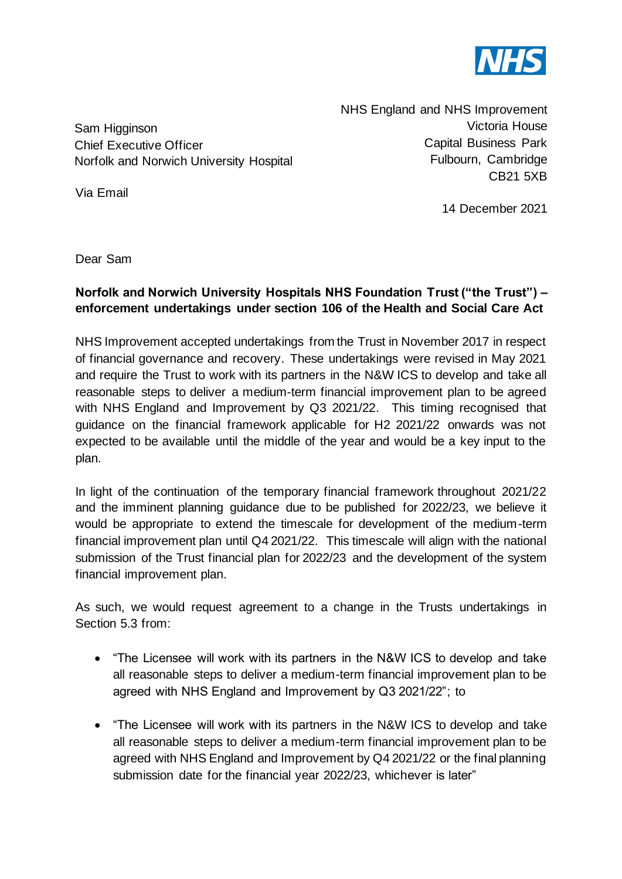

Sam Higginson Chief Executive Officer Norfolk and Norwich University Hospital NHS England and NHS Improvement Victoria House Capital Business Park Fulbourn, Cambridge CB21 5XB

Via Email

14 December 2021

Dear Sam

## **Norfolk and Norwich University Hospitals NHS Foundation Trust ("the Trust") – enforcement undertakings under section 106 of the Health and Social Care Act**

NHS Improvement accepted undertakings from the Trust in November 2017 in respect of financial governance and recovery. These undertakings were revised in May 2021 and require the Trust to work with its partners in the N&W ICS to develop and take all reasonable steps to deliver a medium-term financial improvement plan to be agreed with NHS England and Improvement by Q3 2021/22. This timing recognised that guidance on the financial framework applicable for H2 2021/22 onwards was not expected to be available until the middle of the year and would be a key input to the plan.

In light of the continuation of the temporary financial framework throughout 2021/22 and the imminent planning guidance due to be published for 2022/23, we believe it would be appropriate to extend the timescale for development of the medium-term financial improvement plan until Q4 2021/22. This timescale will align with the national submission of the Trust financial plan for 2022/23 and the development of the system financial improvement plan.

As such, we would request agreement to a change in the Trusts undertakings in Section 5.3 from:

- "The Licensee will work with its partners in the N&W ICS to develop and take all reasonable steps to deliver a medium-term financial improvement plan to be agreed with NHS England and Improvement by Q3 2021/22"; to
- "The Licensee will work with its partners in the N&W ICS to develop and take all reasonable steps to deliver a medium-term financial improvement plan to be agreed with NHS England and Improvement by Q4 2021/22 or the final planning submission date for the financial year 2022/23, whichever is later"